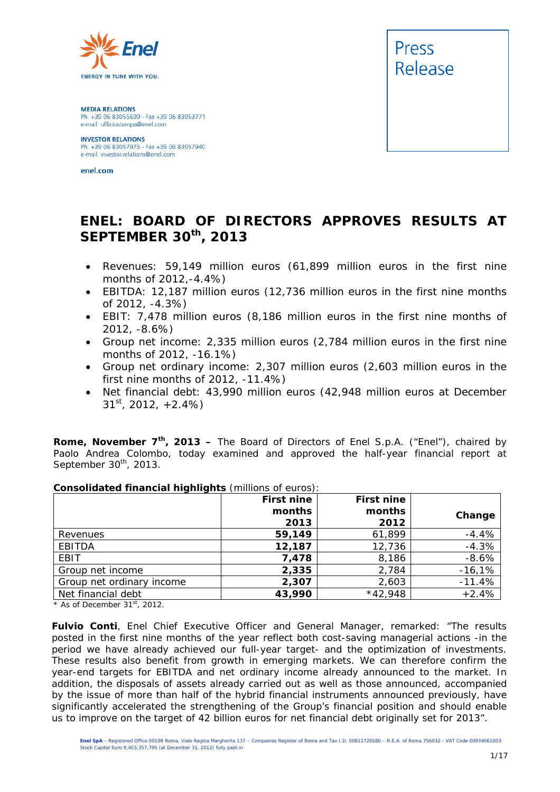

**MEDIA RELATIONS** Ph. +39 06 83055699 - Fax +39 06 83053771 e-mail: ufficiostampa@enel.com

**INVESTOR RELATIONS**<br>Ph. +39 06 83057975 - Fax +39 06 83057940 e-mail: investor.relations@enel.com

enel.com



# **ENEL: BOARD OF DIRECTORS APPROVES RESULTS AT SEPTEMBER 30th, 2013**

- *Revenues: 59,149 million euros (61,899 million euros in the first nine months of 2012,-4.4%)*
- *EBITDA: 12,187 million euros (12,736 million euros in the first nine months of 2012, -4.3%)*
- *EBIT: 7,478 million euros (8,186 million euros in the first nine months of 2012, -8.6%)*
- *Group net income: 2,335 million euros (2,784 million euros in the first nine months of 2012, -16.1%)*
- *Group net ordinary income: 2,307 million euros (2,603 million euros in the first nine months of 2012, -11.4%)*
- *Net financial debt: 43,990 million euros (42,948 million euros at December 31st, 2012, +2.4%)*

**Rome, November 7th, 2013 –** The Board of Directors of Enel S.p.A. ("Enel"), chaired by Paolo Andrea Colombo, today examined and approved the half-year financial report at September 30<sup>th</sup>, 2013.

|                           | First nine<br>months<br>2013 | <b>First nine</b><br>months<br>2012 | Change   |
|---------------------------|------------------------------|-------------------------------------|----------|
| Revenues                  | 59,149                       | 61,899                              | $-4.4%$  |
| <b>EBITDA</b>             | 12,187                       | 12,736                              | $-4.3%$  |
| EBIT                      | 7,478                        | 8,186                               | $-8.6%$  |
| Group net income          | 2,335                        | 2,784                               | $-16,1%$ |
| Group net ordinary income | 2,307                        | 2,603                               | $-11.4%$ |
| Net financial debt        | 43,990                       | $*42,948$                           | $+2.4%$  |

#### **Consolidated financial highlights** (millions of euros):

*\* As of December 31st, 2012.* 

**Fulvio Conti**, Enel Chief Executive Officer and General Manager, remarked: *"The results posted in the first nine months of the year reflect both cost-saving managerial actions -in the period we have already achieved our full-year target- and the optimization of investments. These results also benefit from growth in emerging markets. We can therefore confirm the year-end targets for EBITDA and net ordinary income already announced to the market. In addition, the disposals of assets already carried out as well as those announced, accompanied by the issue of more than half of the hybrid financial instruments announced previously, have significantly accelerated the strengthening of the Group's financial position and should enable us to improve on the target of 42 billion euros for net financial debt originally set for 2013".*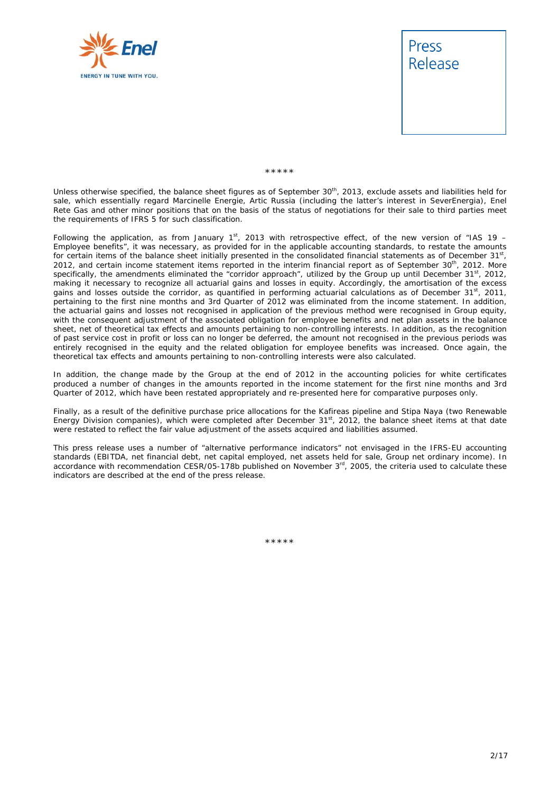



\*\*\*\*\*

Unless otherwise specified, the balance sheet figures as of September 30<sup>th</sup>, 2013, exclude assets and liabilities held for sale, which essentially regard Marcinelle Energie, Artic Russia (including the latter's interest in SeverEnergia), Enel Rete Gas and other minor positions that on the basis of the status of negotiations for their sale to third parties meet the requirements of IFRS 5 for such classification.

Following the application, as from January  $1<sup>st</sup>$ , 2013 with retrospective effect, of the new version of "IAS 19 – Employee benefits", it was necessary, as provided for in the applicable accounting standards, to restate the amounts for certain items of the balance sheet initially presented in the consolidated financial statements as of December 31st, 2012, and certain income statement items reported in the interim financial report as of September 30<sup>th</sup>, 2012. More specifically, the amendments eliminated the "corridor approach", utilized by the Group up until December 31<sup>st</sup>, 2012, making it necessary to recognize all actuarial gains and losses in equity. Accordingly, the amortisation of the excess gains and losses outside the corridor, as quantified in performing actuarial calculations as of December 31<sup>st</sup>, 2011, pertaining to the first nine months and 3rd Quarter of 2012 was eliminated from the income statement. In addition, the actuarial gains and losses not recognised in application of the previous method were recognised in Group equity, with the consequent adjustment of the associated obligation for employee benefits and net plan assets in the balance sheet, net of theoretical tax effects and amounts pertaining to non-controlling interests. In addition, as the recognition of past service cost in profit or loss can no longer be deferred, the amount not recognised in the previous periods was entirely recognised in the equity and the related obligation for employee benefits was increased. Once again, the theoretical tax effects and amounts pertaining to non-controlling interests were also calculated.

In addition, the change made by the Group at the end of 2012 in the accounting policies for white certificates produced a number of changes in the amounts reported in the income statement for the first nine months and 3rd Quarter of 2012, which have been restated appropriately and re-presented here for comparative purposes only.

Finally, as a result of the definitive purchase price allocations for the Kafireas pipeline and Stipa Naya (two Renewable Energy Division companies), which were completed after December 31<sup>st</sup>, 2012, the balance sheet items at that date were restated to reflect the fair value adjustment of the assets acquired and liabilities assumed.

This press release uses a number of "alternative performance indicators" not envisaged in the IFRS-EU accounting standards (EBITDA, net financial debt, net capital employed, net assets held for sale, Group net ordinary income). In accordance with recommendation CESR/05-178b published on November  $3<sup>rd</sup>$ , 2005, the criteria used to calculate these indicators are described at the end of the press release.

\*\*\*\*\*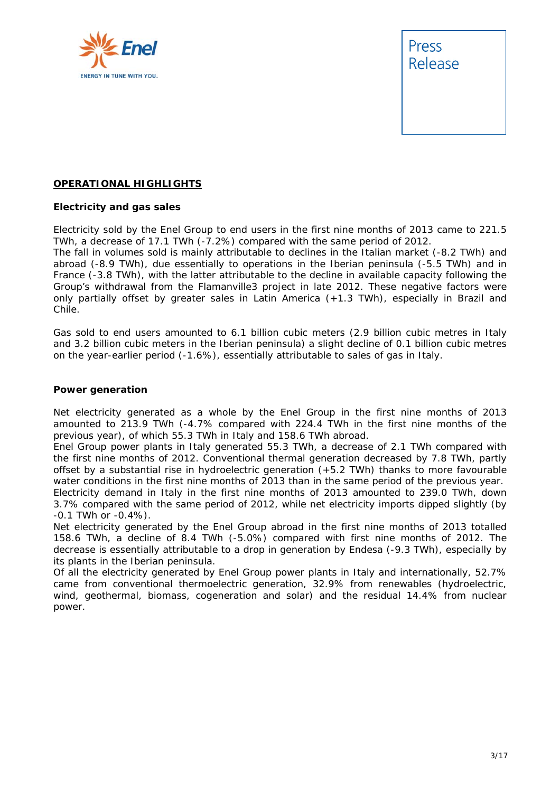



#### **OPERATIONAL HIGHLIGHTS**

#### **Electricity and gas sales**

Electricity sold by the Enel Group to end users in the first nine months of 2013 came to 221.5 TWh, a decrease of 17.1 TWh (-7.2%) compared with the same period of 2012.

The fall in volumes sold is mainly attributable to declines in the Italian market (-8.2 TWh) and abroad (-8.9 TWh), due essentially to operations in the Iberian peninsula (-5.5 TWh) and in France (-3.8 TWh), with the latter attributable to the decline in available capacity following the Group's withdrawal from the Flamanville3 project in late 2012. These negative factors were only partially offset by greater sales in Latin America (+1.3 TWh), especially in Brazil and Chile.

Gas sold to end users amounted to 6.1 billion cubic meters (2.9 billion cubic metres in Italy and 3.2 billion cubic meters in the Iberian peninsula) a slight decline of 0.1 billion cubic metres on the year-earlier period (-1.6%), essentially attributable to sales of gas in Italy.

#### **Power generation**

Net electricity generated as a whole by the Enel Group in the first nine months of 2013 amounted to 213.9 TWh (-4.7% compared with 224.4 TWh in the first nine months of the previous year), of which 55.3 TWh in Italy and 158.6 TWh abroad.

Enel Group power plants in Italy generated 55.3 TWh, a decrease of 2.1 TWh compared with the first nine months of 2012. Conventional thermal generation decreased by 7.8 TWh, partly offset by a substantial rise in hydroelectric generation (+5.2 TWh) thanks to more favourable water conditions in the first nine months of 2013 than in the same period of the previous year.

Electricity demand in Italy in the first nine months of 2013 amounted to 239.0 TWh, down 3.7% compared with the same period of 2012, while net electricity imports dipped slightly (by -0.1 TWh or -0.4%).

Net electricity generated by the Enel Group abroad in the first nine months of 2013 totalled 158.6 TWh, a decline of 8.4 TWh (-5.0%) compared with first nine months of 2012. The decrease is essentially attributable to a drop in generation by Endesa (-9.3 TWh), especially by its plants in the Iberian peninsula.

Of all the electricity generated by Enel Group power plants in Italy and internationally, 52.7% came from conventional thermoelectric generation, 32.9% from renewables (hydroelectric, wind, geothermal, biomass, cogeneration and solar) and the residual 14.4% from nuclear power.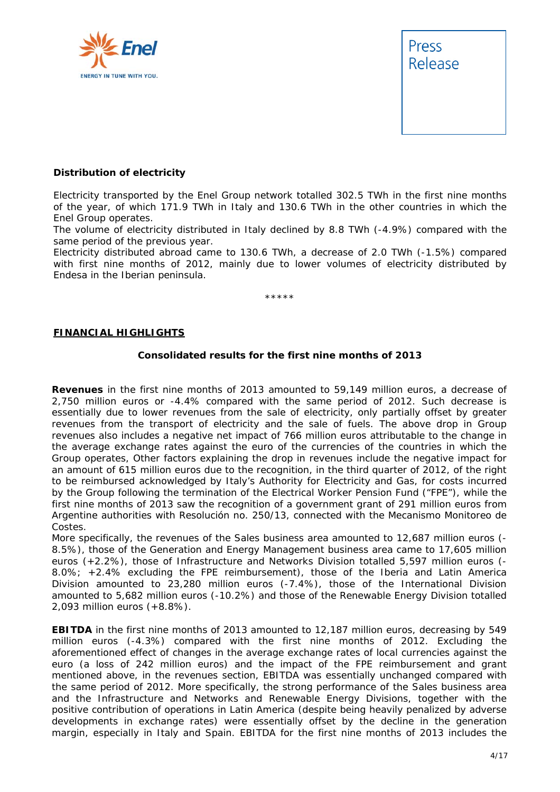



#### **Distribution of electricity**

Electricity transported by the Enel Group network totalled 302.5 TWh in the first nine months of the year, of which 171.9 TWh in Italy and 130.6 TWh in the other countries in which the Enel Group operates.

The volume of electricity distributed in Italy declined by 8.8 TWh (-4.9%) compared with the same period of the previous year.

Electricity distributed abroad came to 130.6 TWh, a decrease of 2.0 TWh (-1.5%) compared with first nine months of 2012, mainly due to lower volumes of electricity distributed by Endesa in the Iberian peninsula.

\*\*\*\*\*

#### **FINANCIAL HIGHLIGHTS**

#### **Consolidated results for the first nine months of 2013**

**Revenues** in the first nine months of 2013 amounted to 59,149 million euros, a decrease of 2,750 million euros or -4.4% compared with the same period of 2012. Such decrease is essentially due to lower revenues from the sale of electricity, only partially offset by greater revenues from the transport of electricity and the sale of fuels. The above drop in Group revenues also includes a negative net impact of 766 million euros attributable to the change in the average exchange rates against the euro of the currencies of the countries in which the Group operates, Other factors explaining the drop in revenues include the negative impact for an amount of 615 million euros due to the recognition, in the third quarter of 2012, of the right to be reimbursed acknowledged by Italy's Authority for Electricity and Gas, for costs incurred by the Group following the termination of the Electrical Worker Pension Fund ("FPE"), while the first nine months of 2013 saw the recognition of a government grant of 291 million euros from Argentine authorities with Resolución no. 250/13, connected with the *Mecanismo Monitoreo de Costes*.

More specifically, the revenues of the Sales business area amounted to 12,687 million euros (-8.5%), those of the Generation and Energy Management business area came to 17,605 million euros (+2.2%), those of Infrastructure and Networks Division totalled 5,597 million euros (- 8.0%; +2.4% excluding the FPE reimbursement), those of the Iberia and Latin America Division amounted to 23,280 million euros (-7.4%), those of the International Division amounted to 5,682 million euros (-10.2%) and those of the Renewable Energy Division totalled 2,093 million euros (+8.8%).

**EBITDA** in the first nine months of 2013 amounted to 12,187 million euros, decreasing by 549 million euros (-4.3%) compared with the first nine months of 2012. Excluding the aforementioned effect of changes in the average exchange rates of local currencies against the euro (a loss of 242 million euros) and the impact of the FPE reimbursement and grant mentioned above, in the revenues section, EBITDA was essentially unchanged compared with the same period of 2012. More specifically, the strong performance of the Sales business area and the Infrastructure and Networks and Renewable Energy Divisions, together with the positive contribution of operations in Latin America (despite being heavily penalized by adverse developments in exchange rates) were essentially offset by the decline in the generation margin, especially in Italy and Spain. EBITDA for the first nine months of 2013 includes the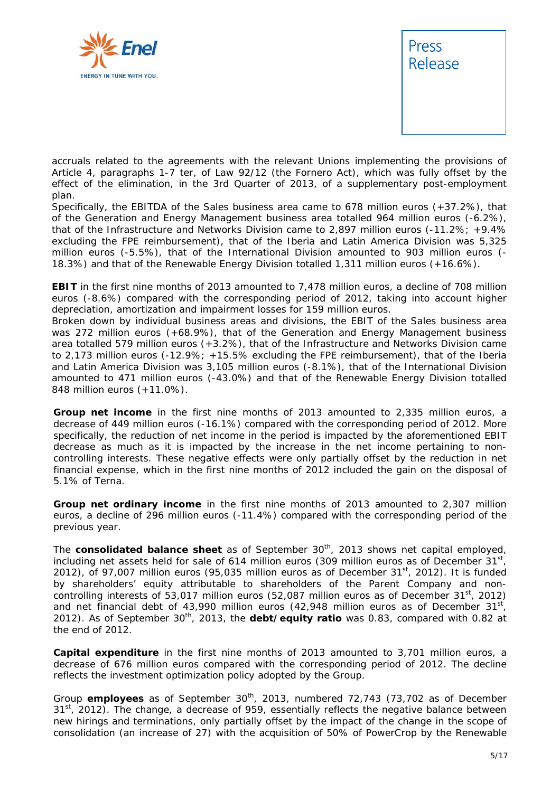



accruals related to the agreements with the relevant Unions implementing the provisions of Article 4, paragraphs 1-7 ter, of Law 92/12 (the Fornero Act), which was fully offset by the effect of the elimination, in the 3rd Quarter of 2013, of a supplementary post-employment plan.

Specifically, the EBITDA of the Sales business area came to 678 million euros (+37.2%), that of the Generation and Energy Management business area totalled 964 million euros (-6.2%), that of the Infrastructure and Networks Division came to 2,897 million euros (-11.2%; +9.4% excluding the FPE reimbursement), that of the Iberia and Latin America Division was 5,325 million euros (-5.5%), that of the International Division amounted to 903 million euros (- 18.3%) and that of the Renewable Energy Division totalled 1,311 million euros (+16.6%).

**EBIT** in the first nine months of 2013 amounted to 7,478 million euros, a decline of 708 million euros (-8.6%) compared with the corresponding period of 2012, taking into account higher depreciation, amortization and impairment losses for 159 million euros.

Broken down by individual business areas and divisions, the EBIT of the Sales business area was 272 million euros (+68.9%), that of the Generation and Energy Management business area totalled 579 million euros (+3.2%), that of the Infrastructure and Networks Division came to 2,173 million euros (-12.9%; +15.5% excluding the FPE reimbursement), that of the Iberia and Latin America Division was 3,105 million euros (-8.1%), that of the International Division amounted to 471 million euros (-43.0%) and that of the Renewable Energy Division totalled 848 million euros (+11.0%).

**Group net income** in the first nine months of 2013 amounted to 2,335 million euros, a decrease of 449 million euros (-16.1%) compared with the corresponding period of 2012. More specifically, the reduction of net income in the period is impacted by the aforementioned EBIT decrease as much as it is impacted by the increase in the net income pertaining to noncontrolling interests. These negative effects were only partially offset by the reduction in net financial expense, which in the first nine months of 2012 included the gain on the disposal of 5.1% of Terna.

**Group net ordinary income** in the first nine months of 2013 amounted to 2,307 million euros, a decline of 296 million euros (-11.4%) compared with the corresponding period of the previous year.

The **consolidated balance sheet** as of September 30<sup>th</sup>, 2013 shows net capital employed, including net assets held for sale of 614 million euros (309 million euros as of December  $31^{st}$ , 2012), of 97,007 million euros (95,035 million euros as of December  $31<sup>st</sup>$ , 2012). It is funded by shareholders' equity attributable to shareholders of the Parent Company and noncontrolling interests of 53,017 million euros (52,087 million euros as of December  $31^{st}$ , 2012) and net financial debt of 43,990 million euros (42,948 million euros as of December  $31^{st}$ . 2012). As of September 30<sup>th</sup>, 2013, the **debt/equity ratio** was 0.83, compared with 0.82 at the end of 2012.

**Capital expenditure** in the first nine months of 2013 amounted to 3,701 million euros, a decrease of 676 million euros compared with the corresponding period of 2012. The decline reflects the investment optimization policy adopted by the Group.

Group **employees** as of September 30<sup>th</sup>, 2013, numbered 72,743 (73,702 as of December  $31<sup>st</sup>$ , 2012). The change, a decrease of 959, essentially reflects the negative balance between new hirings and terminations, only partially offset by the impact of the change in the scope of consolidation (an increase of 27) with the acquisition of 50% of PowerCrop by the Renewable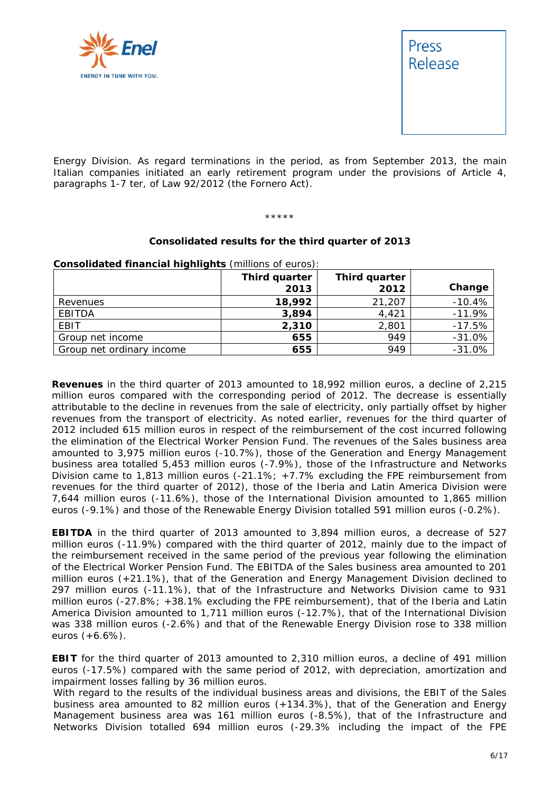



Energy Division. As regard terminations in the period, as from September 2013, the main Italian companies initiated an early retirement program under the provisions of Article 4, paragraphs 1-7 *ter*, of Law 92/2012 (the Fornero Act).

\*\*\*\*\*

#### **Consolidated results for the third quarter of 2013**

**Consolidated financial highlights** (millions of euros):

|                           | Third quarter<br>2013 | Third quarter<br>2012 | Change   |
|---------------------------|-----------------------|-----------------------|----------|
| Revenues                  | 18,992                | 21,207                | $-10.4%$ |
| EBITDA                    | 3,894                 | 4,421                 | $-11.9%$ |
| EBIT                      | 2,310                 | 2,801                 | $-17.5%$ |
| Group net income          | 655                   | 949                   | $-31.0%$ |
| Group net ordinary income | 655                   | 949                   | $-31.0%$ |

**Revenues** in the third quarter of 2013 amounted to 18,992 million euros, a decline of 2,215 million euros compared with the corresponding period of 2012. The decrease is essentially attributable to the decline in revenues from the sale of electricity, only partially offset by higher revenues from the transport of electricity. As noted earlier, revenues for the third quarter of 2012 included 615 million euros in respect of the reimbursement of the cost incurred following the elimination of the Electrical Worker Pension Fund. The revenues of the Sales business area amounted to 3,975 million euros (-10.7%), those of the Generation and Energy Management business area totalled 5,453 million euros (-7.9%), those of the Infrastructure and Networks Division came to 1,813 million euros (-21.1%; +7.7% excluding the FPE reimbursement from revenues for the third quarter of 2012), those of the Iberia and Latin America Division were 7,644 million euros (-11.6%), those of the International Division amounted to 1,865 million euros (-9.1%) and those of the Renewable Energy Division totalled 591 million euros (-0.2%).

**EBITDA** in the third quarter of 2013 amounted to 3,894 million euros, a decrease of 527 million euros (-11.9%) compared with the third quarter of 2012, mainly due to the impact of the reimbursement received in the same period of the previous year following the elimination of the Electrical Worker Pension Fund. The EBITDA of the Sales business area amounted to 201 million euros (+21.1%), that of the Generation and Energy Management Division declined to 297 million euros (-11.1%), that of the Infrastructure and Networks Division came to 931 million euros (-27.8%; +38.1% excluding the FPE reimbursement), that of the Iberia and Latin America Division amounted to 1,711 million euros (-12.7%), that of the International Division was 338 million euros (-2.6%) and that of the Renewable Energy Division rose to 338 million euros (+6.6%).

**EBIT** for the third quarter of 2013 amounted to 2,310 million euros, a decline of 491 million euros (-17.5%) compared with the same period of 2012, with depreciation, amortization and impairment losses falling by 36 million euros.

With regard to the results of the individual business areas and divisions, the EBIT of the Sales business area amounted to 82 million euros (+134.3%), that of the Generation and Energy Management business area was 161 million euros (-8.5%), that of the Infrastructure and Networks Division totalled 694 million euros (-29.3% including the impact of the FPE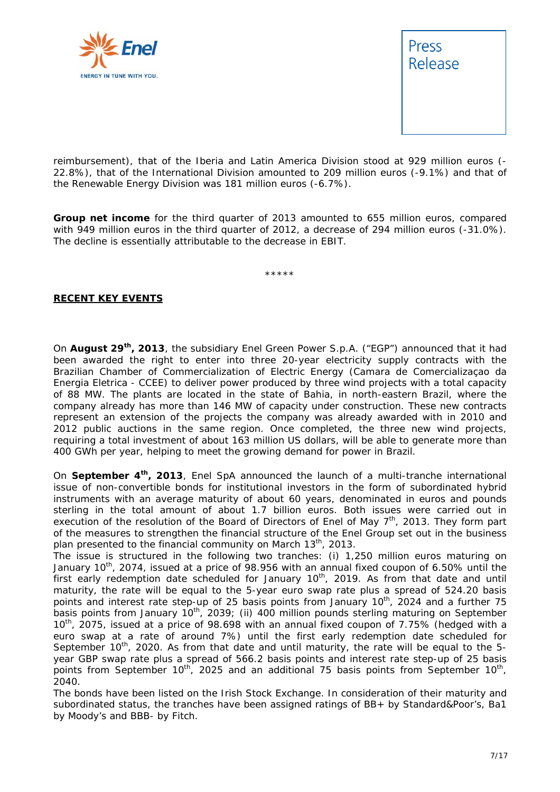



reimbursement), that of the Iberia and Latin America Division stood at 929 million euros (- 22.8%), that of the International Division amounted to 209 million euros (-9.1%) and that of the Renewable Energy Division was 181 million euros (-6.7%).

**Group net income** for the third quarter of 2013 amounted to 655 million euros, compared with 949 million euros in the third quarter of 2012, a decrease of 294 million euros (-31.0%). The decline is essentially attributable to the decrease in EBIT.

\*\*\*\*\*

#### **RECENT KEY EVENTS**

On **August 29th, 2013**, the subsidiary Enel Green Power S.p.A. ("EGP") announced that it had been awarded the right to enter into three 20-year electricity supply contracts with the Brazilian Chamber of Commercialization of Electric Energy (*Camara de Comercializaçao da Energia Eletrica* - CCEE) to deliver power produced by three wind projects with a total capacity of 88 MW. The plants are located in the state of Bahia, in north-eastern Brazil, where the company already has more than 146 MW of capacity under construction. These new contracts represent an extension of the projects the company was already awarded with in 2010 and 2012 public auctions in the same region. Once completed, the three new wind projects, requiring a total investment of about 163 million US dollars, will be able to generate more than 400 GWh per year, helping to meet the growing demand for power in Brazil.

On **September 4th, 2013**, Enel SpA announced the launch of a multi-tranche international issue of non-convertible bonds for institutional investors in the form of subordinated hybrid instruments with an average maturity of about 60 years, denominated in euros and pounds sterling in the total amount of about 1.7 billion euros. Both issues were carried out in execution of the resolution of the Board of Directors of Enel of May  $7<sup>th</sup>$ , 2013. They form part of the measures to strengthen the financial structure of the Enel Group set out in the business plan presented to the financial community on March  $13<sup>th</sup>$ , 2013.

The issue is structured in the following two tranches: (i) 1,250 million euros maturing on January 10<sup>th</sup>, 2074, issued at a price of 98.956 with an annual fixed coupon of 6.50% until the first early redemption date scheduled for January 10<sup>th</sup>, 2019. As from that date and until maturity, the rate will be equal to the 5-year euro swap rate plus a spread of 524.20 basis points and interest rate step-up of 25 basis points from January 10<sup>th</sup>, 2024 and a further 75 basis points from January 10<sup>th</sup>, 2039; (ii) 400 million pounds sterling maturing on September 10th, 2075, issued at a price of 98.698 with an annual fixed coupon of 7.75% (hedged with a euro swap at a rate of around 7%) until the first early redemption date scheduled for September  $10^{th}$ , 2020. As from that date and until maturity, the rate will be equal to the 5year GBP swap rate plus a spread of 566.2 basis points and interest rate step-up of 25 basis points from September 10<sup>th</sup>, 2025 and an additional 75 basis points from September 10<sup>th</sup>, 2040.

The bonds have been listed on the Irish Stock Exchange. In consideration of their maturity and subordinated status, the tranches have been assigned ratings of BB+ by Standard&Poor's, Ba1 by Moody's and BBB- by Fitch.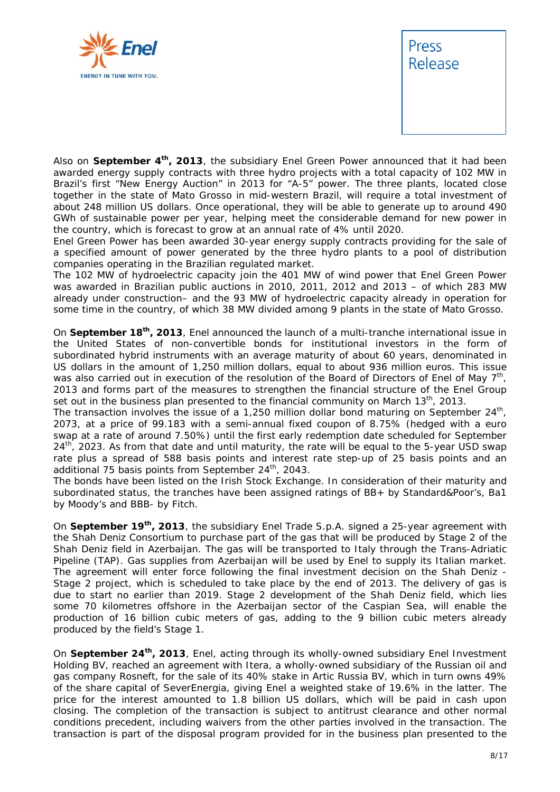



Also on **September 4th, 2013**, the subsidiary Enel Green Power announced that it had been awarded energy supply contracts with three hydro projects with a total capacity of 102 MW in Brazil's first "New Energy Auction" in 2013 for "A-5" power. The three plants, located close together in the state of Mato Grosso in mid-western Brazil, will require a total investment of about 248 million US dollars. Once operational, they will be able to generate up to around 490 GWh of sustainable power per year, helping meet the considerable demand for new power in the country, which is forecast to grow at an annual rate of 4% until 2020.

Enel Green Power has been awarded 30-year energy supply contracts providing for the sale of a specified amount of power generated by the three hydro plants to a pool of distribution companies operating in the Brazilian regulated market.

The 102 MW of hydroelectric capacity join the 401 MW of wind power that Enel Green Power was awarded in Brazilian public auctions in 2010, 2011, 2012 and 2013 – of which 283 MW already under construction– and the 93 MW of hydroelectric capacity already in operation for some time in the country, of which 38 MW divided among 9 plants in the state of Mato Grosso.

On **September 18th, 2013**, Enel announced the launch of a multi-tranche international issue in the United States of non-convertible bonds for institutional investors in the form of subordinated hybrid instruments with an average maturity of about 60 years, denominated in US dollars in the amount of 1,250 million dollars, equal to about 936 million euros. This issue was also carried out in execution of the resolution of the Board of Directors of Enel of May 7<sup>th</sup>, 2013 and forms part of the measures to strengthen the financial structure of the Enel Group set out in the business plan presented to the financial community on March  $13<sup>th</sup>$ , 2013.

The transaction involves the issue of a 1,250 million dollar bond maturing on September  $24<sup>th</sup>$ , 2073, at a price of 99.183 with a semi-annual fixed coupon of 8.75% (hedged with a euro swap at a rate of around 7.50%) until the first early redemption date scheduled for September  $24<sup>th</sup>$ , 2023. As from that date and until maturity, the rate will be equal to the 5-year USD swap rate plus a spread of 588 basis points and interest rate step-up of 25 basis points and an additional 75 basis points from September 24<sup>th</sup>, 2043.

The bonds have been listed on the Irish Stock Exchange. In consideration of their maturity and subordinated status, the tranches have been assigned ratings of BB+ by Standard&Poor's, Ba1 by Moody's and BBB- by Fitch.

On **September 19th, 2013**, the subsidiary Enel Trade S.p.A. signed a 25-year agreement with the Shah Deniz Consortium to purchase part of the gas that will be produced by Stage 2 of the Shah Deniz field in Azerbaijan. The gas will be transported to Italy through the Trans-Adriatic Pipeline (TAP). Gas supplies from Azerbaijan will be used by Enel to supply its Italian market. The agreement will enter force following the final investment decision on the Shah Deniz - Stage 2 project, which is scheduled to take place by the end of 2013. The delivery of gas is due to start no earlier than 2019. Stage 2 development of the Shah Deniz field, which lies some 70 kilometres offshore in the Azerbaijan sector of the Caspian Sea, will enable the production of 16 billion cubic meters of gas, adding to the 9 billion cubic meters already produced by the field's Stage 1.

On **September 24th, 2013**, Enel, acting through its wholly-owned subsidiary Enel Investment Holding BV, reached an agreement with Itera, a wholly-owned subsidiary of the Russian oil and gas company Rosneft, for the sale of its 40% stake in Artic Russia BV, which in turn owns 49% of the share capital of SeverEnergia, giving Enel a weighted stake of 19.6% in the latter. The price for the interest amounted to 1.8 billion US dollars, which will be paid in cash upon closing. The completion of the transaction is subject to antitrust clearance and other normal conditions precedent, including waivers from the other parties involved in the transaction. The transaction is part of the disposal program provided for in the business plan presented to the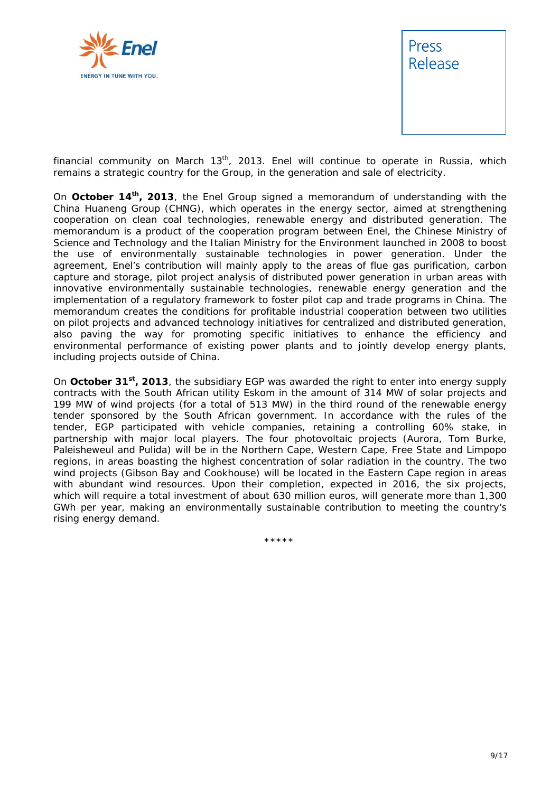



financial community on March  $13<sup>th</sup>$ , 2013. Enel will continue to operate in Russia, which remains a strategic country for the Group, in the generation and sale of electricity.

On **October 14th, 2013**, the Enel Group signed a memorandum of understanding with the China Huaneng Group (CHNG), which operates in the energy sector, aimed at strengthening cooperation on clean coal technologies, renewable energy and distributed generation. The memorandum is a product of the cooperation program between Enel, the Chinese Ministry of Science and Technology and the Italian Ministry for the Environment launched in 2008 to boost the use of environmentally sustainable technologies in power generation. Under the agreement, Enel's contribution will mainly apply to the areas of flue gas purification, carbon capture and storage, pilot project analysis of distributed power generation in urban areas with innovative environmentally sustainable technologies, renewable energy generation and the implementation of a regulatory framework to foster pilot cap and trade programs in China. The memorandum creates the conditions for profitable industrial cooperation between two utilities on pilot projects and advanced technology initiatives for centralized and distributed generation, also paving the way for promoting specific initiatives to enhance the efficiency and environmental performance of existing power plants and to jointly develop energy plants, including projects outside of China.

On **October 31st, 2013**, the subsidiary EGP was awarded the right to enter into energy supply contracts with the South African utility Eskom in the amount of 314 MW of solar projects and 199 MW of wind projects (for a total of 513 MW) in the third round of the renewable energy tender sponsored by the South African government. In accordance with the rules of the tender, EGP participated with vehicle companies, retaining a controlling 60% stake, in partnership with major local players. The four photovoltaic projects (Aurora, Tom Burke, Paleisheweul and Pulida) will be in the Northern Cape, Western Cape, Free State and Limpopo regions, in areas boasting the highest concentration of solar radiation in the country. The two wind projects (Gibson Bay and Cookhouse) will be located in the Eastern Cape region in areas with abundant wind resources. Upon their completion, expected in 2016, the six projects, which will require a total investment of about 630 million euros, will generate more than 1,300 GWh per year, making an environmentally sustainable contribution to meeting the country's rising energy demand.

\*\*\*\*\*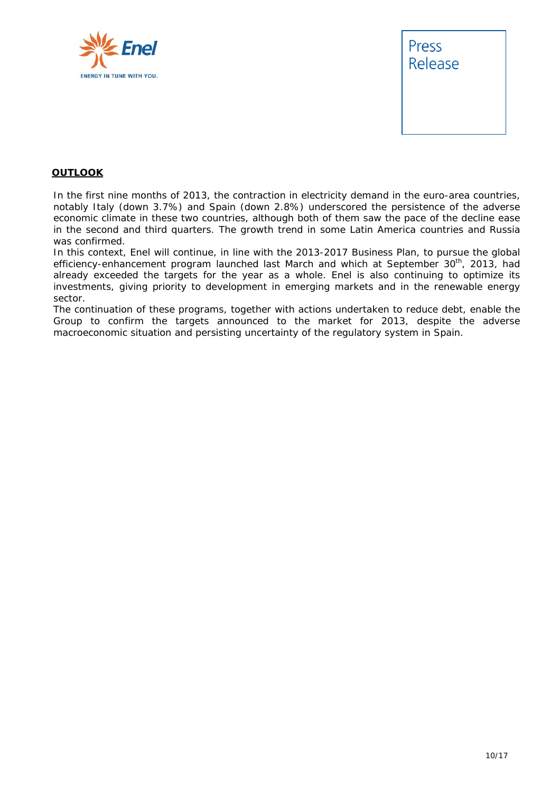



#### **OUTLOOK**

In the first nine months of 2013, the contraction in electricity demand in the euro-area countries, notably Italy (down 3.7%) and Spain (down 2.8%) underscored the persistence of the adverse economic climate in these two countries, although both of them saw the pace of the decline ease in the second and third quarters. The growth trend in some Latin America countries and Russia was confirmed.

In this context, Enel will continue, in line with the 2013-2017 Business Plan, to pursue the global efficiency-enhancement program launched last March and which at September 30<sup>th</sup>, 2013, had already exceeded the targets for the year as a whole. Enel is also continuing to optimize its investments, giving priority to development in emerging markets and in the renewable energy sector.

The continuation of these programs, together with actions undertaken to reduce debt, enable the Group to confirm the targets announced to the market for 2013, despite the adverse macroeconomic situation and persisting uncertainty of the regulatory system in Spain.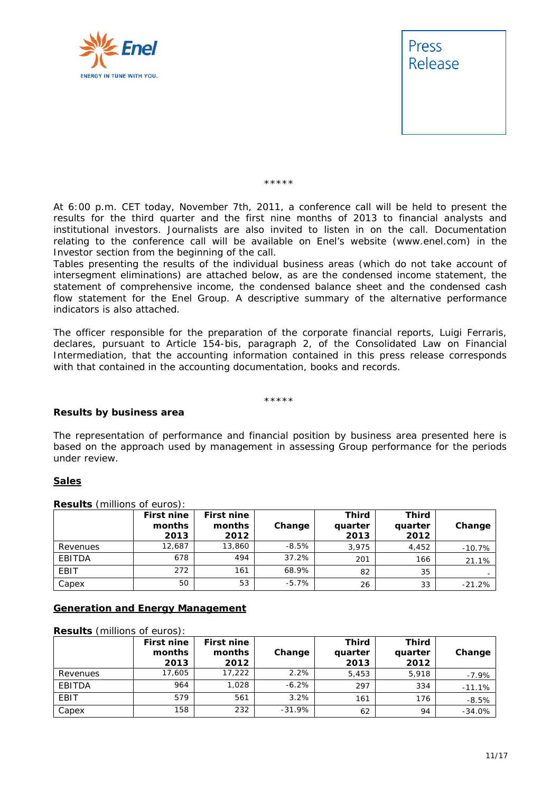



\*\*\*\*\*

*At 6:00 p.m. CET today, November 7th, 2011, a conference call will be held to present the results for the third quarter and the first nine months of 2013 to financial analysts and institutional investors. Journalists are also invited to listen in on the call. Documentation*  relating to the conference call will be available on Enel's website (www.enel.com) in the *Investor section from the beginning of the call.* 

Tables presenting the results of the individual business areas (which do not take account of *intersegment eliminations) are attached below, as are the condensed income statement, the statement of comprehensive income, the condensed balance sheet and the condensed cash flow statement for the Enel Group. A descriptive summary of the alternative performance indicators is also attached.* 

*The officer responsible for the preparation of the corporate financial reports, Luigi Ferraris, declares, pursuant to Article 154-bis, paragraph 2, of the Consolidated Law on Financial Intermediation, that the accounting information contained in this press release corresponds with that contained in the accounting documentation, books and records.* 

\*\*\*\*\*

#### **Results by business area**

The representation of performance and financial position by business area presented here is based on the approach used by management in assessing Group performance for the periods under review.

#### **Sales**

|          | <b>First nine</b><br>months<br>2013 | <b>First nine</b><br>months<br>2012 | Change  | Third<br>quarter<br>2013 | Third<br>quarter<br>2012 | Change   |
|----------|-------------------------------------|-------------------------------------|---------|--------------------------|--------------------------|----------|
| Revenues | 12.687                              | 13,860                              | $-8.5%$ | 3.975                    | 4,452                    | $-10.7%$ |
| EBITDA   | 678                                 | 494                                 | 37.2%   | 201                      | 166                      | 21.1%    |
| EBIT     | 272                                 | 161                                 | 68.9%   | 82                       | 35                       |          |
| Capex    | 50                                  | 53                                  | -5.7%   | 26                       | 33                       | $-21.2%$ |

**Results** (millions of euros):

#### **Generation and Energy Management**

| <b>Results</b> (millions of euros): |                                     |                                     |          |                          |                          |          |  |  |
|-------------------------------------|-------------------------------------|-------------------------------------|----------|--------------------------|--------------------------|----------|--|--|
|                                     | <b>First nine</b><br>months<br>2013 | <b>First nine</b><br>months<br>2012 | Change   | Third<br>quarter<br>2013 | Third<br>quarter<br>2012 | Change   |  |  |
| Revenues                            | 17,605                              | 17.222                              | 2.2%     | 5,453                    | 5.918                    | $-7.9%$  |  |  |
| EBITDA                              | 964                                 | 1.028                               | $-6.2%$  | 297                      | 334                      | $-11.1%$ |  |  |
| EBIT                                | 579                                 | 561                                 | 3.2%     | 161                      | 176                      | $-8.5%$  |  |  |
| Capex                               | 158                                 | 232                                 | $-31.9%$ | 62                       | 94                       | $-34.0%$ |  |  |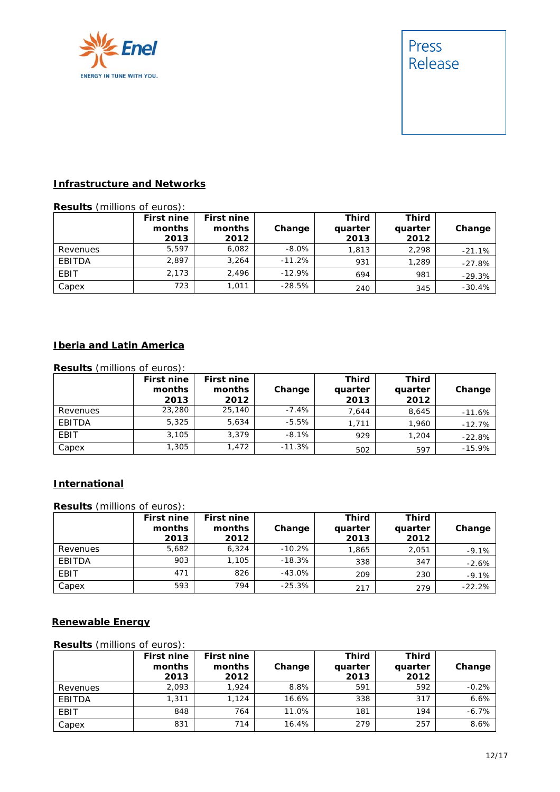



### **Infrastructure and Networks**

#### **Results** (millions of euros):

|          | <b>First nine</b><br>months<br>2013 | <b>First nine</b><br>months<br>2012 | Change   | Third<br>quarter<br>2013 | Third<br>quarter<br>2012 | Change   |
|----------|-------------------------------------|-------------------------------------|----------|--------------------------|--------------------------|----------|
| Revenues | 5.597                               | 6.082                               | $-8.0\%$ | 1.813                    | 2.298                    | $-21.1%$ |
| EBITDA   | 2,897                               | 3.264                               | $-11.2%$ | 931                      | 1.289                    | $-27.8%$ |
| EBIT     | 2.173                               | 2.496                               | $-12.9%$ | 694                      | 981                      | $-29.3%$ |
| Capex    | 723                                 | 1.011                               | $-28.5%$ | 240                      | 345                      | $-30.4%$ |

## **Iberia and Latin America**

| <b>Results</b> (millions of euros): |                                     |                                     |          |                          |                          |          |  |
|-------------------------------------|-------------------------------------|-------------------------------------|----------|--------------------------|--------------------------|----------|--|
|                                     | <b>First nine</b><br>months<br>2013 | <b>First nine</b><br>months<br>2012 | Change   | Third<br>quarter<br>2013 | Third<br>quarter<br>2012 | Change   |  |
| Revenues                            | 23,280                              | 25,140                              | $-7.4\%$ | 7.644                    | 8,645                    | $-11.6%$ |  |
| EBITDA                              | 5,325                               | 5,634                               | $-5.5%$  | 1.711                    | 1,960                    | $-12.7%$ |  |
| EBIT                                | 3.105                               | 3.379                               | $-8.1%$  | 929                      | 1,204                    | $-22.8%$ |  |
| Capex                               | 1,305                               | 1,472                               | $-11.3%$ | 502                      | 597                      | $-15.9%$ |  |

#### **International**

**Results** (millions of euros):

|          | <b>First nine</b><br>months<br>2013 | <b>First nine</b><br>months<br>2012 | Change   | Third<br>quarter<br>2013 | Third<br>quarter<br>2012 | Change   |
|----------|-------------------------------------|-------------------------------------|----------|--------------------------|--------------------------|----------|
| Revenues | 5,682                               | 6.324                               | $-10.2%$ | 1,865                    | 2,051                    | $-9.1%$  |
| EBITDA   | 903                                 | 1,105                               | $-18.3%$ | 338                      | 347                      | $-2.6%$  |
| EBIT     | 471                                 | 826                                 | $-43.0%$ | 209                      | 230                      | $-9.1%$  |
| Capex    | 593                                 | 794                                 | $-25.3%$ | 217                      | 279                      | $-22.2%$ |

### **Renewable Energy**

#### **Results** (millions of euros):

|          | First nine<br>months<br>2013 | <b>First nine</b><br>months<br>2012 | Change | <b>Third</b><br>quarter<br>2013 | <b>Third</b><br>quarter<br>2012 | Change  |
|----------|------------------------------|-------------------------------------|--------|---------------------------------|---------------------------------|---------|
| Revenues | 2.093                        | 1.924                               | 8.8%   | 591                             | 592                             | $-0.2%$ |
| EBITDA   | 1,311                        | 1.124                               | 16.6%  | 338                             | 317                             | 6.6%    |
| EBIT     | 848                          | 764                                 | 11.0%  | 181                             | 194                             | $-6.7%$ |
| Capex    | 831                          | 714                                 | 16.4%  | 279                             | 257                             | 8.6%    |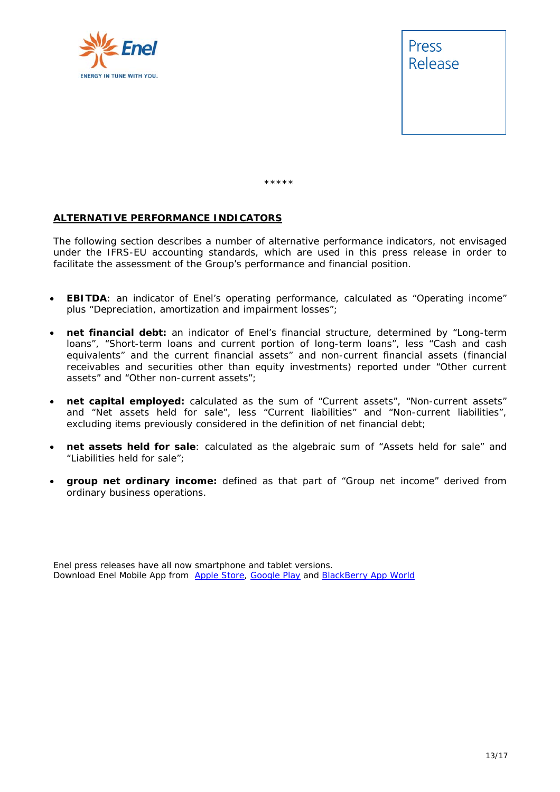



\*\*\*\*\*

#### **ALTERNATIVE PERFORMANCE INDICATORS**

The following section describes a number of alternative performance indicators, not envisaged under the IFRS-EU accounting standards, which are used in this press release in order to facilitate the assessment of the Group's performance and financial position.

- **EBITDA**: an indicator of Enel's operating performance, calculated as "Operating income" plus "Depreciation, amortization and impairment losses";
- **net financial debt:** an indicator of Enel's financial structure, determined by "Long-term loans", "Short-term loans and current portion of long-term loans", less "Cash and cash equivalents" and the current financial assets" and non-current financial assets (financial receivables and securities other than equity investments) reported under "Other current assets" and "Other non-current assets";
- **net capital employed:** calculated as the sum of "Current assets", "Non-current assets" and "Net assets held for sale", less "Current liabilities" and "Non-current liabilities", excluding items previously considered in the definition of net financial debt;
- **net assets held for sale**: calculated as the algebraic sum of "Assets held for sale" and "Liabilities held for sale";
- **group net ordinary income:** defined as that part of "Group net income" derived from ordinary business operations.

Enel press releases have all now smartphone and tablet versions. Download Enel Mobile App from Apple Store, Google Play and BlackBerry App World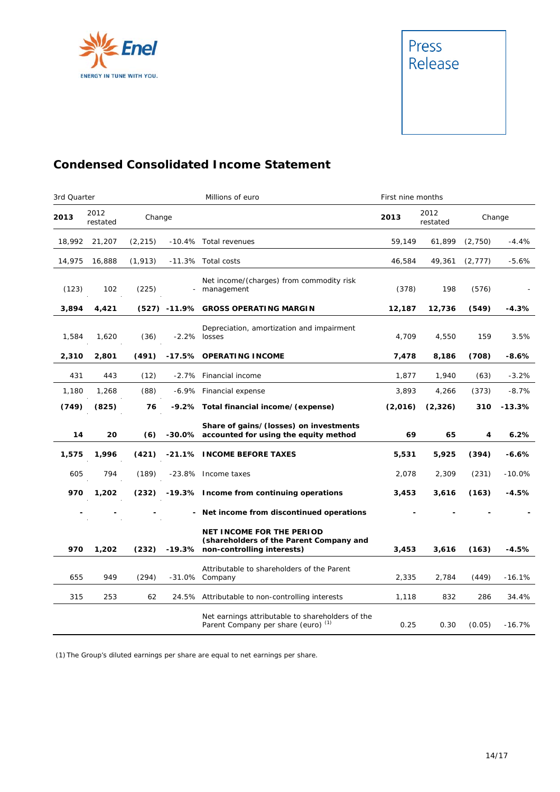



# **Condensed Consolidated Income Statement**

| 3rd Quarter |                  |          |         | Millions of euro                                                                                                 | First nine months |                  |          |          |
|-------------|------------------|----------|---------|------------------------------------------------------------------------------------------------------------------|-------------------|------------------|----------|----------|
| 2013        | 2012<br>restated | Change   |         |                                                                                                                  | 2013              | 2012<br>restated |          | Change   |
| 18,992      | 21,207           | (2, 215) |         | -10.4% Total revenues                                                                                            | 59.149            | 61,899           | (2,750)  | $-4.4%$  |
| 14,975      | 16,888           | (1, 913) |         | -11.3% Total costs                                                                                               | 46,584            | 49,361           | (2, 777) | $-5.6%$  |
| (123)       | 102              | (225)    |         | Net income/(charges) from commodity risk<br>- management                                                         | (378)             | 198              | (576)    |          |
| 3,894       | 4,421            |          |         | (527) -11.9% GROSS OPERATING MARGIN                                                                              | 12,187            | 12,736           | (549)    | $-4.3%$  |
| 1,584       | 1,620            | (36)     |         | Depreciation, amortization and impairment<br>$-2.2\%$ losses                                                     | 4,709             | 4,550            | 159      | 3.5%     |
| 2,310       | 2,801            | (491)    |         | -17.5% OPERATING INCOME                                                                                          | 7,478             | 8,186            | (708)    | $-8.6%$  |
| 431         | 443              | (12)     | $-2.7%$ | Financial income                                                                                                 | 1,877             | 1,940            | (63)     | $-3.2%$  |
| 1,180       | 1,268            | (88)     |         | -6.9% Financial expense                                                                                          | 3,893             | 4,266            | (373)    | $-8.7%$  |
| (749)       | (825)            | 76       |         | -9.2% Total financial income/(expense)                                                                           | (2,016)           | (2, 326)         | 310      | $-13.3%$ |
| 14          | 20               | (6)      |         | Share of gains/(losses) on investments<br>-30.0% accounted for using the equity method                           | 69                | 65               | 4        | 6.2%     |
| 1,575       | 1,996            | (421)    |         | -21.1% INCOME BEFORE TAXES                                                                                       | 5,531             | 5,925            | (394)    | $-6.6%$  |
| 605         | 794              | (189)    |         | -23.8% Income taxes                                                                                              | 2,078             | 2,309            | (231)    | $-10.0%$ |
| 970         | 1,202            | (232)    |         | -19.3% Income from continuing operations                                                                         | 3,453             | 3,616            | (163)    | $-4.5%$  |
|             |                  |          |         | - Net income from discontinued operations                                                                        |                   |                  |          |          |
| 970         | 1,202            | (232)    |         | <b>NET INCOME FOR THE PERIOD</b><br>(shareholders of the Parent Company and<br>-19.3% non-controlling interests) | 3,453             | 3,616            | (163)    | $-4.5%$  |
| 655         | 949              | (294)    |         | Attributable to shareholders of the Parent<br>-31.0% Company                                                     | 2,335             | 2,784            | (449)    | $-16.1%$ |
| 315         | 253              | 62       |         | 24.5% Attributable to non-controlling interests                                                                  | 1,118             | 832              | 286      | 34.4%    |
|             |                  |          |         | Net earnings attributable to shareholders of the<br>Parent Company per share (euro) <sup>(1)</sup>               | 0.25              | 0.30             | (0.05)   | $-16.7%$ |

(1) The Group's diluted earnings per share are equal to net earnings per share.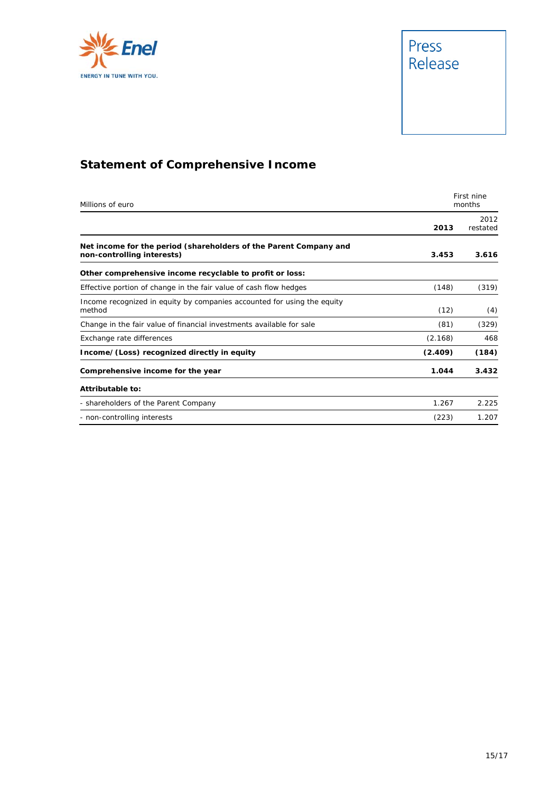



# **Statement of Comprehensive Income**

| Millions of euro                                                                                | First nine<br>months |                  |  |
|-------------------------------------------------------------------------------------------------|----------------------|------------------|--|
|                                                                                                 | 2013                 | 2012<br>restated |  |
| Net income for the period (shareholders of the Parent Company and<br>non-controlling interests) | 3.453                | 3.616            |  |
| Other comprehensive income recyclable to profit or loss:                                        |                      |                  |  |
| Effective portion of change in the fair value of cash flow hedges                               | (148)                | (319)            |  |
| Income recognized in equity by companies accounted for using the equity<br>method               | (12)                 | (4)              |  |
| Change in the fair value of financial investments available for sale                            | (81)                 | (329)            |  |
| Exchange rate differences                                                                       | (2.168)              | 468              |  |
| Income/(Loss) recognized directly in equity                                                     | (2.409)              | (184)            |  |
| Comprehensive income for the year                                                               | 1.044                | 3.432            |  |
| Attributable to:                                                                                |                      |                  |  |
| - shareholders of the Parent Company                                                            | 1.267                | 2.225            |  |
| - non-controlling interests                                                                     | (223)                | 1.207            |  |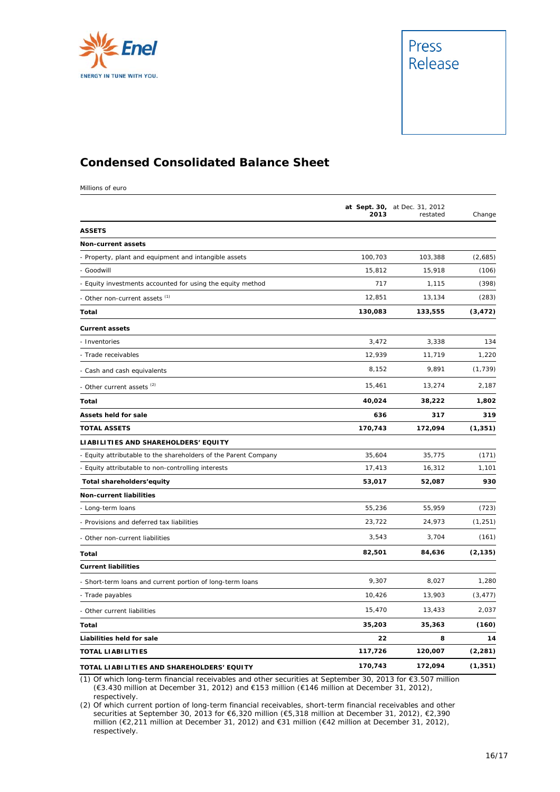



## **Condensed Consolidated Balance Sheet**

Millions of euro

|                                                                 | 2013    | at Sept. 30, at Dec. 31, 2012<br>restated | Change   |
|-----------------------------------------------------------------|---------|-------------------------------------------|----------|
| <b>ASSETS</b>                                                   |         |                                           |          |
| <b>Non-current assets</b>                                       |         |                                           |          |
| - Property, plant and equipment and intangible assets           | 100,703 | 103,388                                   | (2,685)  |
| - Goodwill                                                      | 15,812  | 15,918                                    | (106)    |
| - Equity investments accounted for using the equity method      | 717     | 1,115                                     | (398)    |
| - Other non-current assets (1)                                  | 12,851  | 13,134                                    | (283)    |
| Total                                                           | 130,083 | 133,555                                   | (3, 472) |
| <b>Current assets</b>                                           |         |                                           |          |
| - Inventories                                                   | 3,472   | 3,338                                     | 134      |
| Trade receivables                                               | 12,939  | 11,719                                    | 1,220    |
| - Cash and cash equivalents                                     | 8,152   | 9,891                                     | (1, 739) |
| - Other current assets <sup>(2)</sup>                           | 15,461  | 13,274                                    | 2,187    |
| Total                                                           | 40,024  | 38,222                                    | 1,802    |
| <b>Assets held for sale</b>                                     | 636     | 317                                       | 319      |
| <b>TOTAL ASSETS</b>                                             | 170,743 | 172,094                                   | (1, 351) |
| LIABILITIES AND SHAREHOLDERS' EQUITY                            |         |                                           |          |
| - Equity attributable to the shareholders of the Parent Company | 35,604  | 35,775                                    | (171)    |
| - Equity attributable to non-controlling interests              | 17,413  | 16,312                                    | 1,101    |
| Total shareholders'equity                                       | 53,017  | 52,087                                    | 930      |
| Non-current liabilities                                         |         |                                           |          |
| - Long-term loans                                               | 55,236  | 55,959                                    | (723)    |
| - Provisions and deferred tax liabilities                       | 23,722  | 24,973                                    | (1, 251) |
| - Other non-current liabilities                                 | 3,543   | 3,704                                     | (161)    |
| Total                                                           | 82,501  | 84,636                                    | (2, 135) |
| <b>Current liabilities</b>                                      |         |                                           |          |
| - Short-term loans and current portion of long-term loans       | 9,307   | 8,027                                     | 1,280    |
| - Trade payables                                                | 10,426  | 13,903                                    | (3, 477) |
| - Other current liabilities                                     | 15,470  | 13,433                                    | 2,037    |
| Total                                                           | 35,203  | 35,363                                    | (160)    |
| Liabilities held for sale                                       | 22      | 8                                         | 14       |
| <b>TOTAL LIABILITIES</b>                                        | 117,726 | 120,007                                   | (2, 281) |
| TOTAL LIABILITIES AND SHAREHOLDERS' EQUITY                      | 170,743 | 172,094                                   | (1, 351) |

(1) Of which long-term financial receivables and other securities at September 30, 2013 for €3.507 million (€3.430 million at December 31, 2012) and €153 million (€146 million at December 31, 2012), respectively.

(2) Of which current portion of long-term financial receivables, short-term financial receivables and other securities at September 30, 2013 for €6,320 million (€5,318 million at December 31, 2012), €2,390 million (€2,211 million at December 31, 2012) and €31 million (€42 million at December 31, 2012), respectively.